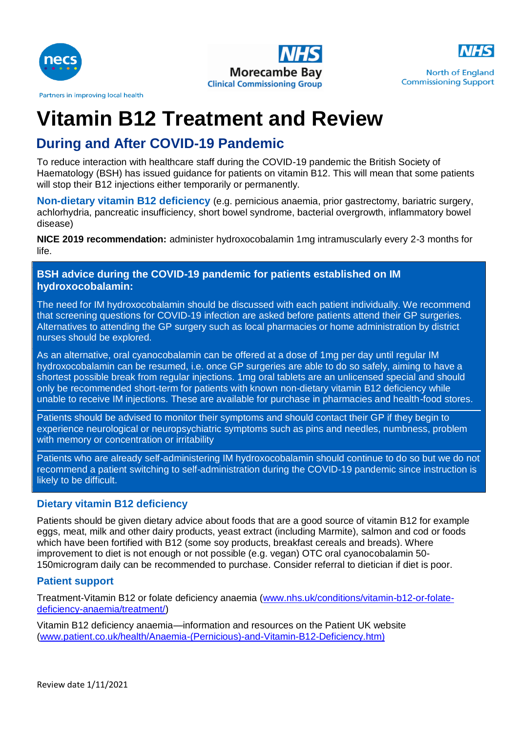





**North of England Commissioning Support** 

### Partners in improving local health

# **Vitamin B12 Treatment and Review**

## **During and After COVID-19 Pandemic**

To reduce interaction with healthcare staff during the COVID-19 pandemic the British Society of Haematology (BSH) has issued guidance for patients on vitamin B12. This will mean that some patients will stop their B12 injections either temporarily or permanently.

**Non-dietary vitamin B12 deficiency** (e.g. pernicious anaemia, prior gastrectomy, bariatric surgery, achlorhydria, pancreatic insufficiency, short bowel syndrome, bacterial overgrowth, inflammatory bowel disease)

**NICE 2019 recommendation:** administer hydroxocobalamin 1mg intramuscularly every 2-3 months for life.

**BSH advice during the COVID-19 pandemic for patients established on IM hydroxocobalamin:**

The need for IM hydroxocobalamin should be discussed with each patient individually. We recommend that screening questions for COVID-19 infection are asked before patients attend their GP surgeries. Alternatives to attending the GP surgery such as local pharmacies or home administration by district nurses should be explored.

As an alternative, oral cyanocobalamin can be offered at a dose of 1mg per day until regular IM hydroxocobalamin can be resumed, i.e. once GP surgeries are able to do so safely, aiming to have a shortest possible break from regular injections. 1mg oral tablets are an unlicensed special and should only be recommended short-term for patients with known non-dietary vitamin B12 deficiency while unable to receive IM injections. These are available for purchase in pharmacies and health-food stores.

Patients should be advised to monitor their symptoms and should contact their GP if they begin to experience neurological or neuropsychiatric symptoms such as pins and needles, numbness, problem with memory or concentration or irritability

Patients who are already self-administering IM hydroxocobalamin should continue to do so but we do not recommend a patient switching to self-administration during the COVID-19 pandemic since instruction is likely to be difficult.

#### **Dietary vitamin B12 deficiency**

Patients should be given dietary advice about foods that are a good source of vitamin B12 for example eggs, meat, milk and other dairy products, yeast extract (including Marmite), salmon and cod or foods which have been fortified with B12 (some soy products, breakfast cereals and breads). Where improvement to diet is not enough or not possible (e.g. vegan) OTC oral cyanocobalamin 50- 150microgram daily can be recommended to purchase. Consider referral to dietician if diet is poor.

#### **Patient support**

Treatment-Vitamin B12 or folate deficiency anaemia [\(www.nhs.uk/conditions/vitamin-b12-or-folate](http://www.nhs.uk/conditions/vitamin-b12-or-folate-deficiency-anaemia/treatment/)[deficiency-anaemia/treatment/\)](http://www.nhs.uk/conditions/vitamin-b12-or-folate-deficiency-anaemia/treatment/)

Vitamin B12 deficiency anaemia—information and resources on the Patient UK website [\(www.patient.co.uk/health/Anaemia-\(Pernicious\)-and-Vitamin-B12-Deficiency.htm\)](http://www.patient.co.uk/health/Anaemia-(Pernicious)-and-Vitamin-B12-Deficiency.htm))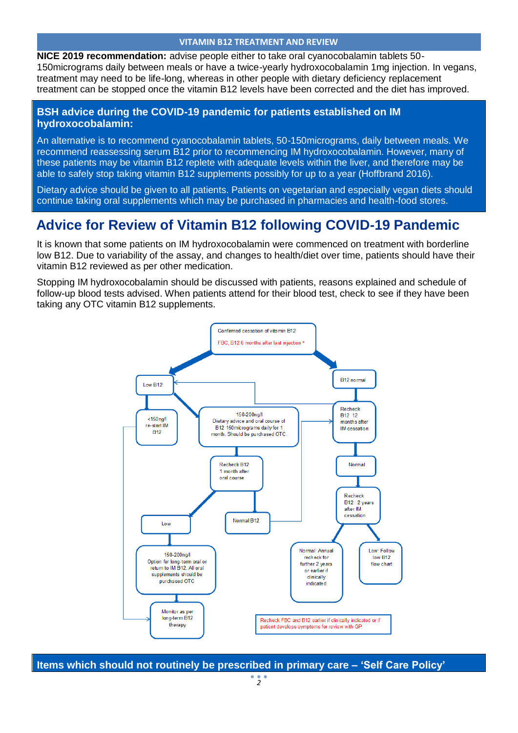#### **VITAMIN B12 TREATMENT AND REVIEW**

**NICE 2019 recommendation:** advise people either to take oral cyanocobalamin tablets 50- 150micrograms daily between meals or have a twice-yearly hydroxocobalamin 1mg injection. In vegans, treatment may need to be life-long, whereas in other people with dietary deficiency replacement treatment can be stopped once the vitamin B12 levels have been corrected and the diet has improved.

#### **BSH advice during the COVID-19 pandemic for patients established on IM hydroxocobalamin:**

An alternative is to recommend cyanocobalamin tablets, 50-150micrograms, daily between meals. We recommend reassessing serum B12 prior to recommencing IM hydroxocobalamin. However, many of these patients may be vitamin B12 replete with adequate levels within the liver, and therefore may be able to safely stop taking vitamin B12 supplements possibly for up to a year (Hoffbrand 2016).

Dietary advice should be given to all patients. Patients on vegetarian and especially vegan diets should continue taking oral supplements which may be purchased in pharmacies and health-food stores.

## **Advice for Review of Vitamin B12 following COVID-19 Pandemic**

It is known that some patients on IM hydroxocobalamin were commenced on treatment with borderline low B12. Due to variability of the assay, and changes to health/diet over time, patients should have their vitamin B12 reviewed as per other medication.

Stopping IM hydroxocobalamin should be discussed with patients, reasons explained and schedule of follow-up blood tests advised. When patients attend for their blood test, check to see if they have been taking any OTC vitamin B12 supplements.



**Items which should not routinely be prescribed in primary care – 'Self Care Policy'**